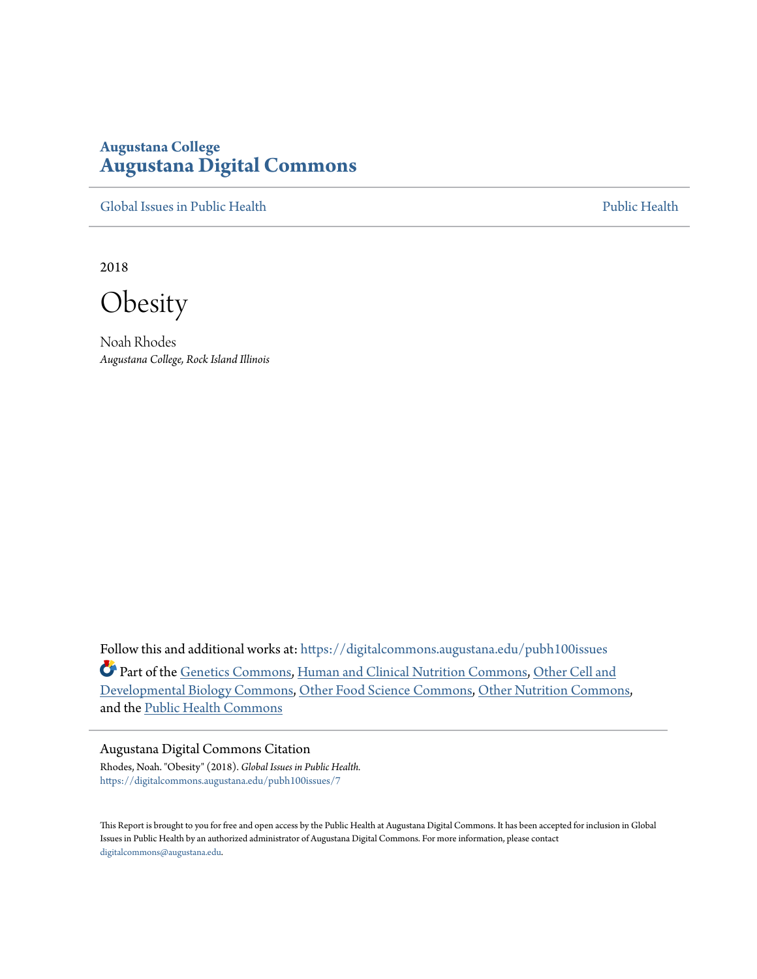# **Augustana College [Augustana Digital Commons](https://digitalcommons.augustana.edu?utm_source=digitalcommons.augustana.edu%2Fpubh100issues%2F7&utm_medium=PDF&utm_campaign=PDFCoverPages)**

[Global Issues in Public Health](https://digitalcommons.augustana.edu/pubh100issues?utm_source=digitalcommons.augustana.edu%2Fpubh100issues%2F7&utm_medium=PDF&utm_campaign=PDFCoverPages) [Public Health](https://digitalcommons.augustana.edu/publichealth?utm_source=digitalcommons.augustana.edu%2Fpubh100issues%2F7&utm_medium=PDF&utm_campaign=PDFCoverPages) Public Health Public Health Public Health

2018

**Obesity** 

Noah Rhodes *Augustana College, Rock Island Illinois*

Follow this and additional works at: [https://digitalcommons.augustana.edu/pubh100issues](https://digitalcommons.augustana.edu/pubh100issues?utm_source=digitalcommons.augustana.edu%2Fpubh100issues%2F7&utm_medium=PDF&utm_campaign=PDFCoverPages) Part of the [Genetics Commons,](http://network.bepress.com/hgg/discipline/29?utm_source=digitalcommons.augustana.edu%2Fpubh100issues%2F7&utm_medium=PDF&utm_campaign=PDFCoverPages) [Human and Clinical Nutrition Commons,](http://network.bepress.com/hgg/discipline/97?utm_source=digitalcommons.augustana.edu%2Fpubh100issues%2F7&utm_medium=PDF&utm_campaign=PDFCoverPages) [Other Cell and](http://network.bepress.com/hgg/discipline/13?utm_source=digitalcommons.augustana.edu%2Fpubh100issues%2F7&utm_medium=PDF&utm_campaign=PDFCoverPages) [Developmental Biology Commons](http://network.bepress.com/hgg/discipline/13?utm_source=digitalcommons.augustana.edu%2Fpubh100issues%2F7&utm_medium=PDF&utm_campaign=PDFCoverPages), [Other Food Science Commons](http://network.bepress.com/hgg/discipline/89?utm_source=digitalcommons.augustana.edu%2Fpubh100issues%2F7&utm_medium=PDF&utm_campaign=PDFCoverPages), [Other Nutrition Commons,](http://network.bepress.com/hgg/discipline/101?utm_source=digitalcommons.augustana.edu%2Fpubh100issues%2F7&utm_medium=PDF&utm_campaign=PDFCoverPages) and the [Public Health Commons](http://network.bepress.com/hgg/discipline/738?utm_source=digitalcommons.augustana.edu%2Fpubh100issues%2F7&utm_medium=PDF&utm_campaign=PDFCoverPages)

#### Augustana Digital Commons Citation

Rhodes, Noah. "Obesity" (2018). *Global Issues in Public Health.* [https://digitalcommons.augustana.edu/pubh100issues/7](https://digitalcommons.augustana.edu/pubh100issues/7?utm_source=digitalcommons.augustana.edu%2Fpubh100issues%2F7&utm_medium=PDF&utm_campaign=PDFCoverPages)

This Report is brought to you for free and open access by the Public Health at Augustana Digital Commons. It has been accepted for inclusion in Global Issues in Public Health by an authorized administrator of Augustana Digital Commons. For more information, please contact [digitalcommons@augustana.edu.](mailto:digitalcommons@augustana.edu)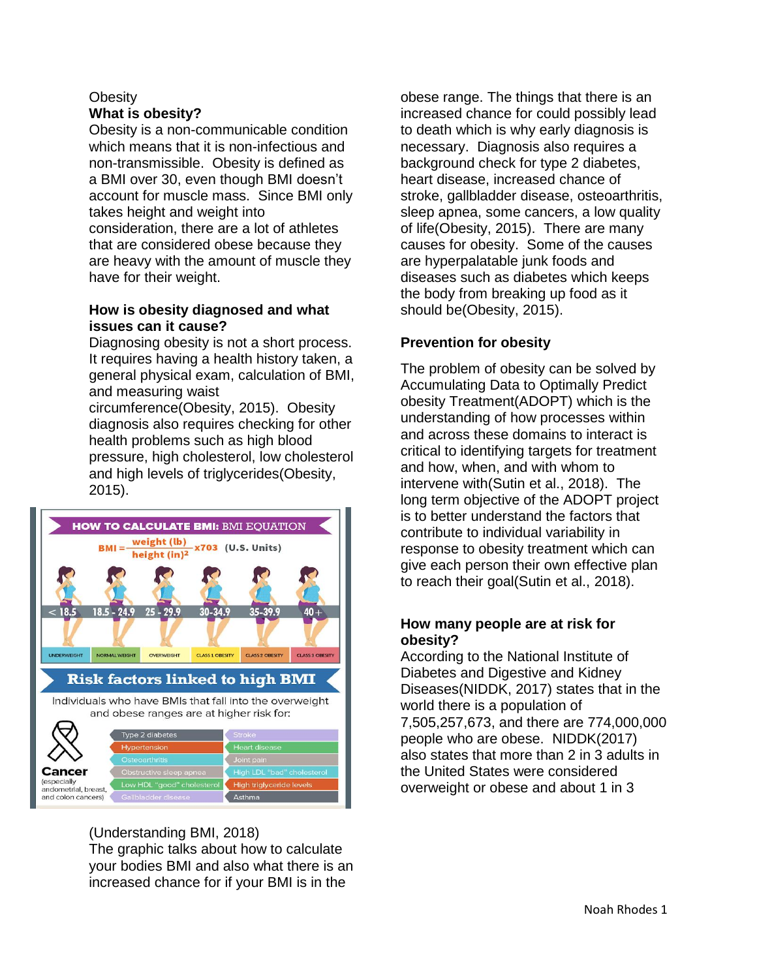### **Obesity What is obesity?**

Obesity is a non-communicable condition which means that it is non-infectious and non-transmissible. Obesity is defined as a BMI over 30, even though BMI doesn't account for muscle mass. Since BMI only takes height and weight into consideration, there are a lot of athletes that are considered obese because they are heavy with the amount of muscle they have for their weight.

### **How is obesity diagnosed and what issues can it cause?**

Diagnosing obesity is not a short process. It requires having a health history taken, a general physical exam, calculation of BMI, and measuring waist

circumference(Obesity, 2015). Obesity diagnosis also requires checking for other health problems such as high blood pressure, high cholesterol, low cholesterol and high levels of triglycerides(Obesity, 2015).



(Understanding BMI, 2018)

The graphic talks about how to calculate your bodies BMI and also what there is an increased chance for if your BMI is in the

obese range. The things that there is an increased chance for could possibly lead to death which is why early diagnosis is necessary. Diagnosis also requires a background check for type 2 diabetes, heart disease, increased chance of stroke, gallbladder disease, osteoarthritis, sleep apnea, some cancers, a low quality of life(Obesity, 2015). There are many causes for obesity. Some of the causes are hyperpalatable junk foods and diseases such as diabetes which keeps the body from breaking up food as it should be(Obesity, 2015).

## **Prevention for obesity**

The problem of obesity can be solved by Accumulating Data to Optimally Predict obesity Treatment(ADOPT) which is the understanding of how processes within and across these domains to interact is critical to identifying targets for treatment and how, when, and with whom to intervene with(Sutin et al., 2018). The long term objective of the ADOPT project is to better understand the factors that contribute to individual variability in response to obesity treatment which can give each person their own effective plan to reach their goal(Sutin et al., 2018).

### **How many people are at risk for obesity?**

According to the National Institute of Diabetes and Digestive and Kidney Diseases(NIDDK, 2017) states that in the world there is a population of 7,505,257,673, and there are 774,000,000 people who are obese. NIDDK(2017) also states that more than 2 in 3 adults in the United States were considered overweight or obese and about 1 in 3